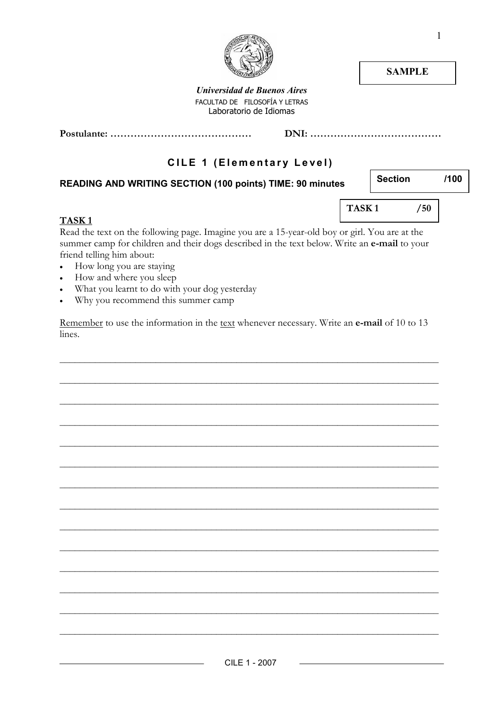

**SAMPLE** 

Universidad de Buenos Aires FACULTAD DE FILOSOFÍA Y LETRAS Laboratorio de Idiomas

Postulante: …………………………………… DNI: …………………………………

# CILE 1 (Elementary Level)

### READING AND WRITING SECTION (100 points) TIME: 90 minutes

Section /100

### TASK 1

TASK 1 /50

Read the text on the following page. Imagine you are a 15-year-old boy or girl. You are at the summer camp for children and their dogs described in the text below. Write an e-mail to your friend telling him about:

- How long you are staying
- How and where you sleep
- What you learnt to do with your dog yesterday
- Why you recommend this summer camp

Remember to use the information in the text whenever necessary. Write an e-mail of 10 to 13 lines.

\_\_\_\_\_\_\_\_\_\_\_\_\_\_\_\_\_\_\_\_\_\_\_\_\_\_\_\_\_\_\_\_\_\_\_\_\_\_\_\_\_\_\_\_\_\_\_\_\_\_\_\_\_\_\_\_\_\_\_\_\_\_\_\_\_\_\_\_\_\_\_\_\_\_\_

\_\_\_\_\_\_\_\_\_\_\_\_\_\_\_\_\_\_\_\_\_\_\_\_\_\_\_\_\_\_\_\_\_\_\_\_\_\_\_\_\_\_\_\_\_\_\_\_\_\_\_\_\_\_\_\_\_\_\_\_\_\_\_\_\_\_\_\_\_\_\_\_\_\_\_

\_\_\_\_\_\_\_\_\_\_\_\_\_\_\_\_\_\_\_\_\_\_\_\_\_\_\_\_\_\_\_\_\_\_\_\_\_\_\_\_\_\_\_\_\_\_\_\_\_\_\_\_\_\_\_\_\_\_\_\_\_\_\_\_\_\_\_\_\_\_\_\_\_\_\_

\_\_\_\_\_\_\_\_\_\_\_\_\_\_\_\_\_\_\_\_\_\_\_\_\_\_\_\_\_\_\_\_\_\_\_\_\_\_\_\_\_\_\_\_\_\_\_\_\_\_\_\_\_\_\_\_\_\_\_\_\_\_\_\_\_\_\_\_\_\_\_\_\_\_\_

\_\_\_\_\_\_\_\_\_\_\_\_\_\_\_\_\_\_\_\_\_\_\_\_\_\_\_\_\_\_\_\_\_\_\_\_\_\_\_\_\_\_\_\_\_\_\_\_\_\_\_\_\_\_\_\_\_\_\_\_\_\_\_\_\_\_\_\_\_\_\_\_\_\_\_

\_\_\_\_\_\_\_\_\_\_\_\_\_\_\_\_\_\_\_\_\_\_\_\_\_\_\_\_\_\_\_\_\_\_\_\_\_\_\_\_\_\_\_\_\_\_\_\_\_\_\_\_\_\_\_\_\_\_\_\_\_\_\_\_\_\_\_\_\_\_\_\_\_\_\_

\_\_\_\_\_\_\_\_\_\_\_\_\_\_\_\_\_\_\_\_\_\_\_\_\_\_\_\_\_\_\_\_\_\_\_\_\_\_\_\_\_\_\_\_\_\_\_\_\_\_\_\_\_\_\_\_\_\_\_\_\_\_\_\_\_\_\_\_\_\_\_\_\_\_\_

\_\_\_\_\_\_\_\_\_\_\_\_\_\_\_\_\_\_\_\_\_\_\_\_\_\_\_\_\_\_\_\_\_\_\_\_\_\_\_\_\_\_\_\_\_\_\_\_\_\_\_\_\_\_\_\_\_\_\_\_\_\_\_\_\_\_\_\_\_\_\_\_\_\_\_

\_\_\_\_\_\_\_\_\_\_\_\_\_\_\_\_\_\_\_\_\_\_\_\_\_\_\_\_\_\_\_\_\_\_\_\_\_\_\_\_\_\_\_\_\_\_\_\_\_\_\_\_\_\_\_\_\_\_\_\_\_\_\_\_\_\_\_\_\_\_\_\_\_\_\_

\_\_\_\_\_\_\_\_\_\_\_\_\_\_\_\_\_\_\_\_\_\_\_\_\_\_\_\_\_\_\_\_\_\_\_\_\_\_\_\_\_\_\_\_\_\_\_\_\_\_\_\_\_\_\_\_\_\_\_\_\_\_\_\_\_\_\_\_\_\_\_\_\_\_\_

\_\_\_\_\_\_\_\_\_\_\_\_\_\_\_\_\_\_\_\_\_\_\_\_\_\_\_\_\_\_\_\_\_\_\_\_\_\_\_\_\_\_\_\_\_\_\_\_\_\_\_\_\_\_\_\_\_\_\_\_\_\_\_\_\_\_\_\_\_\_\_\_\_\_\_

\_\_\_\_\_\_\_\_\_\_\_\_\_\_\_\_\_\_\_\_\_\_\_\_\_\_\_\_\_\_\_\_\_\_\_\_\_\_\_\_\_\_\_\_\_\_\_\_\_\_\_\_\_\_\_\_\_\_\_\_\_\_\_\_\_\_\_\_\_\_\_\_\_\_\_

\_\_\_\_\_\_\_\_\_\_\_\_\_\_\_\_\_\_\_\_\_\_\_\_\_\_\_\_\_\_\_\_\_\_\_\_\_\_\_\_\_\_\_\_\_\_\_\_\_\_\_\_\_\_\_\_\_\_\_\_\_\_\_\_\_\_\_\_\_\_\_\_\_\_\_

\_\_\_\_\_\_\_\_\_\_\_\_\_\_\_\_\_\_\_\_\_\_\_\_\_\_\_\_\_\_\_\_\_\_\_\_\_\_\_\_\_\_\_\_\_\_\_\_\_\_\_\_\_\_\_\_\_\_\_\_\_\_\_\_\_\_\_\_\_\_\_\_\_\_\_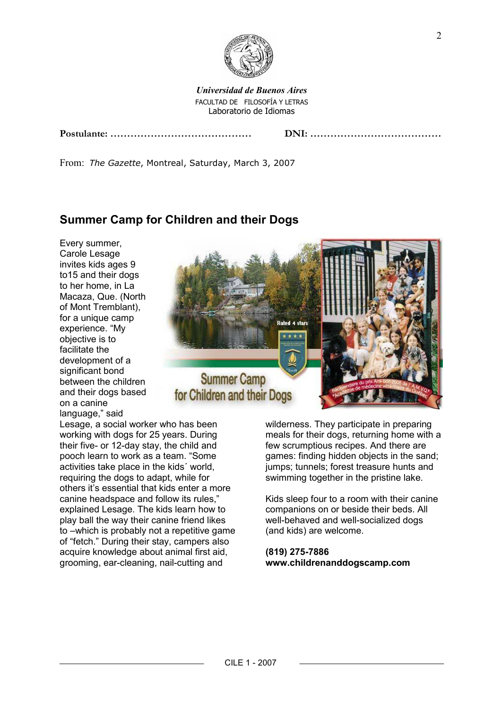

Universidad de Buenos Aires FACULTAD DE FILOSOFÍA Y LETRAS Laboratorio de Idiomas

From: The Gazette, Montreal, Saturday, March 3, 2007

# Summer Camp for Children and their Dogs

Every summer, Carole Lesage invites kids ages 9 to15 and their dogs to her home, in La Macaza, Que. (North of Mont Tremblant), for a unique camp experience. "My objective is to facilitate the development of a significant bond between the children and their dogs based on a canine language," said



Lesage, a social worker who has been working with dogs for 25 years. During their five- or 12-day stay, the child and pooch learn to work as a team. "Some activities take place in the kids´ world, requiring the dogs to adapt, while for others it's essential that kids enter a more canine headspace and follow its rules," explained Lesage. The kids learn how to play ball the way their canine friend likes to –which is probably not a repetitive game of "fetch." During their stay, campers also acquire knowledge about animal first aid, grooming, ear-cleaning, nail-cutting and

wilderness. They participate in preparing meals for their dogs, returning home with a few scrumptious recipes. And there are games: finding hidden objects in the sand; jumps; tunnels; forest treasure hunts and swimming together in the pristine lake.

Kids sleep four to a room with their canine companions on or beside their beds. All well-behaved and well-socialized dogs (and kids) are welcome.

### (819) 275-7886 www.childrenanddogscamp.com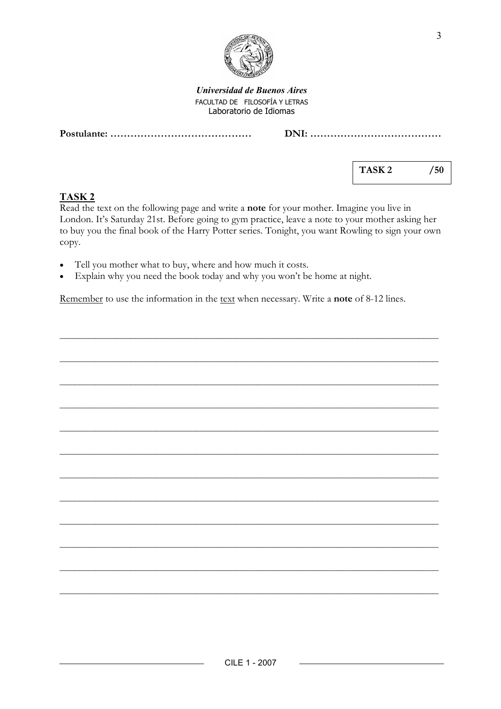

Universidad de Buenos Aires FACULTAD DE FILOSOFÍA Y LETRAS Laboratorio de Idiomas

Postulante: …………………………………… DNI: …………………………………

|--|--|--|--|--|

TASK 2 /50

## TASK 2

Read the text on the following page and write a note for your mother. Imagine you live in London. It's Saturday 21st. Before going to gym practice, leave a note to your mother asking her to buy you the final book of the Harry Potter series. Tonight, you want Rowling to sign your own copy.

- Tell you mother what to buy, where and how much it costs.
- Explain why you need the book today and why you won't be home at night.

Remember to use the information in the text when necessary. Write a note of 8-12 lines.

\_\_\_\_\_\_\_\_\_\_\_\_\_\_\_\_\_\_\_\_\_\_\_\_\_\_\_\_\_\_\_\_\_\_\_\_\_\_\_\_\_\_\_\_\_\_\_\_\_\_\_\_\_\_\_\_\_\_\_\_\_\_\_\_\_\_\_\_\_\_\_\_\_\_\_

\_\_\_\_\_\_\_\_\_\_\_\_\_\_\_\_\_\_\_\_\_\_\_\_\_\_\_\_\_\_\_\_\_\_\_\_\_\_\_\_\_\_\_\_\_\_\_\_\_\_\_\_\_\_\_\_\_\_\_\_\_\_\_\_\_\_\_\_\_\_\_\_\_\_\_

\_\_\_\_\_\_\_\_\_\_\_\_\_\_\_\_\_\_\_\_\_\_\_\_\_\_\_\_\_\_\_\_\_\_\_\_\_\_\_\_\_\_\_\_\_\_\_\_\_\_\_\_\_\_\_\_\_\_\_\_\_\_\_\_\_\_\_\_\_\_\_\_\_\_\_

\_\_\_\_\_\_\_\_\_\_\_\_\_\_\_\_\_\_\_\_\_\_\_\_\_\_\_\_\_\_\_\_\_\_\_\_\_\_\_\_\_\_\_\_\_\_\_\_\_\_\_\_\_\_\_\_\_\_\_\_\_\_\_\_\_\_\_\_\_\_\_\_\_\_\_

\_\_\_\_\_\_\_\_\_\_\_\_\_\_\_\_\_\_\_\_\_\_\_\_\_\_\_\_\_\_\_\_\_\_\_\_\_\_\_\_\_\_\_\_\_\_\_\_\_\_\_\_\_\_\_\_\_\_\_\_\_\_\_\_\_\_\_\_\_\_\_\_\_\_\_

\_\_\_\_\_\_\_\_\_\_\_\_\_\_\_\_\_\_\_\_\_\_\_\_\_\_\_\_\_\_\_\_\_\_\_\_\_\_\_\_\_\_\_\_\_\_\_\_\_\_\_\_\_\_\_\_\_\_\_\_\_\_\_\_\_\_\_\_\_\_\_\_\_\_\_

\_\_\_\_\_\_\_\_\_\_\_\_\_\_\_\_\_\_\_\_\_\_\_\_\_\_\_\_\_\_\_\_\_\_\_\_\_\_\_\_\_\_\_\_\_\_\_\_\_\_\_\_\_\_\_\_\_\_\_\_\_\_\_\_\_\_\_\_\_\_\_\_\_\_\_

\_\_\_\_\_\_\_\_\_\_\_\_\_\_\_\_\_\_\_\_\_\_\_\_\_\_\_\_\_\_\_\_\_\_\_\_\_\_\_\_\_\_\_\_\_\_\_\_\_\_\_\_\_\_\_\_\_\_\_\_\_\_\_\_\_\_\_\_\_\_\_\_\_\_\_

\_\_\_\_\_\_\_\_\_\_\_\_\_\_\_\_\_\_\_\_\_\_\_\_\_\_\_\_\_\_\_\_\_\_\_\_\_\_\_\_\_\_\_\_\_\_\_\_\_\_\_\_\_\_\_\_\_\_\_\_\_\_\_\_\_\_\_\_\_\_\_\_\_\_\_

\_\_\_\_\_\_\_\_\_\_\_\_\_\_\_\_\_\_\_\_\_\_\_\_\_\_\_\_\_\_\_\_\_\_\_\_\_\_\_\_\_\_\_\_\_\_\_\_\_\_\_\_\_\_\_\_\_\_\_\_\_\_\_\_\_\_\_\_\_\_\_\_\_\_\_

\_\_\_\_\_\_\_\_\_\_\_\_\_\_\_\_\_\_\_\_\_\_\_\_\_\_\_\_\_\_\_\_\_\_\_\_\_\_\_\_\_\_\_\_\_\_\_\_\_\_\_\_\_\_\_\_\_\_\_\_\_\_\_\_\_\_\_\_\_\_\_\_\_\_\_

\_\_\_\_\_\_\_\_\_\_\_\_\_\_\_\_\_\_\_\_\_\_\_\_\_\_\_\_\_\_\_\_\_\_\_\_\_\_\_\_\_\_\_\_\_\_\_\_\_\_\_\_\_\_\_\_\_\_\_\_\_\_\_\_\_\_\_\_\_\_\_\_\_\_\_